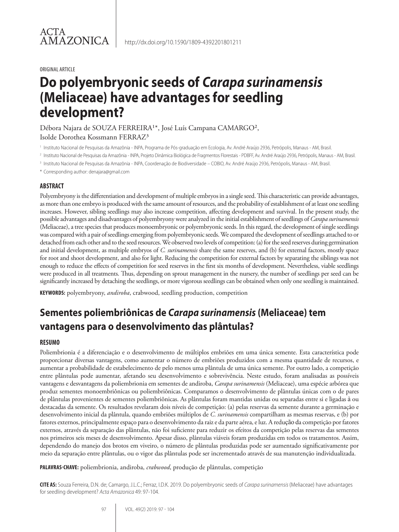#### ORIGINAL ARTICLE

# **Do polyembryonic seeds of** *Carapa surinamensis* **(Meliaceae) have advantages for seedling development?**

Débora Najara de SOUZA FERREIRA<sup>1\*</sup>, José Luís Campana CAMARGO<sup>2</sup>,

Isolde Dorothea Kossmann FERRAZ³

<sup>1</sup> Instituto Nacional de Pesquisas da Amazônia - INPA, Programa de Pós-graduação em Ecologia, Av. André Araújo 2936, Petrópolis, Manaus - AM, Brasil.

<sup>2</sup> Instituto Nacional de Pesquisas da Amazônia - INPA, Projeto Dinâmica Biológica de Fragmentos Florestais - PDBFF, Av. André Araújo 2936, Petrópolis, Manaus - AM, Brasil.

<sup>3</sup> Instituto Nacional de Pesquisas da Amazônia - INPA, Coordenação de Biodiversidade – COBIO, Av. André Araújo 2936, Petrópolis, Manaus - AM, Brasil.

\* Corresponding author: denajara@gmail.com

#### **ABSTRACT**

Polyembryony is the differentiation and development of multiple embryos in a single seed. This characteristic can provide advantages, as more than one embryo is produced with the same amount of resources, and the probability of establishment of at least one seedling increases. However, sibling seedlings may also increase competition, affecting development and survival. In the present study, the possible advantages and disadvantages of polyembryony were analyzed in the initial establishment of seedlings of *Carapa surinamensis*  (Meliaceae), a tree species that produces monoembryonic or polyembryonic seeds. In this regard, the development of single seedlings was compared with a pair of seedlings emerging from polyembryonic seeds. We compared the development of seedlings attached to or detached from each other and to the seed resources. We observed two levels of competition: (a) for the seed reserves during germination and initial development, as multiple embryos of *C. surinamensis* share the same reserves, and (b) for external factors, mostly space for root and shoot development, and also for light. Reducing the competition for external factors by separating the siblings was not enough to reduce the effects of competition for seed reserves in the first six months of development. Nevertheless, viable seedlings were produced in all treatments. Thus, depending on sprout management in the nursery, the number of seedlings per seed can be significantly increased by detaching the seedlings, or more vigorous seedlings can be obtained when only one seedling is maintained.

**KEYWORDS:** polyembryony, *andiroba*, crabwood, seedling production, competition

## **Sementes poliembriônicas de** *Carapa surinamensis* **(Meliaceae) tem vantagens para o desenvolvimento das plântulas?**

#### **RESUMO**

Poliembrionia é a diferenciação e o desenvolvimento de múltiplos embriões em uma única semente. Esta característica pode proporcionar diversas vantagens, como aumentar o número de embriões produzidos com a mesma quantidade de recursos, e aumentar a probabilidade de estabelecimento de pelo menos uma plântula de uma única semente. Por outro lado, a competição entre plântulas pode aumentar, afetando seu desenvolvimento e sobrevivência. Neste estudo, foram analisadas as possíveis vantagens e desvantagens da poliembrionia em sementes de andiroba, *Carapa surinamensis* (Meliaceae), uma espécie arbórea que produz sementes monoembriônicas ou poliembriônicas. Comparamos o desenvolvimento de plântulas únicas com o de pares de plântulas provenientes de sementes poliembriônicas. As plântulas foram mantidas unidas ou separadas entre si e ligadas à ou destacadas da semente. Os resultados revelaram dois níveis de competição: (a) pelas reservas da semente durante a germinação e desenvolvimento inicial da plântula, quando embriões múltiplos de *C. surinamensis* compartilham as mesmas reservas, e (b) por fatores externos, principalmente espaço para o desenvolvimento da raiz e da parte aérea, e luz. A redução da competição por fatores externos, através da separação das plântulas, não foi suficiente para reduzir os efeitos da competição pelas reservas das sementes nos primeiros seis meses de desenvolvimento. Apesar disso, plântulas viáveis foram produzidas em todos os tratamentos. Assim, dependendo do manejo dos brotos em viveiro, o número de plântulas produzidas pode ser aumentado significativamente por meio da separação entre plântulas, ou o vigor das plântulas pode ser incrementado através de sua manutenção individualizada.

**PALAVRAS-CHAVE:** poliembrionia, andiroba, *crabwood*, produção de plântulas, competição

**CITE AS:** Souza Ferreira, D.N. de; Camargo, J.L.C.; Ferraz, I.D.K. 2019. Do polyembryonic seeds of *Carapa surinamensis* (Meliaceae) have advantages for seedling development? *Acta Amazonica* 49: 97-104.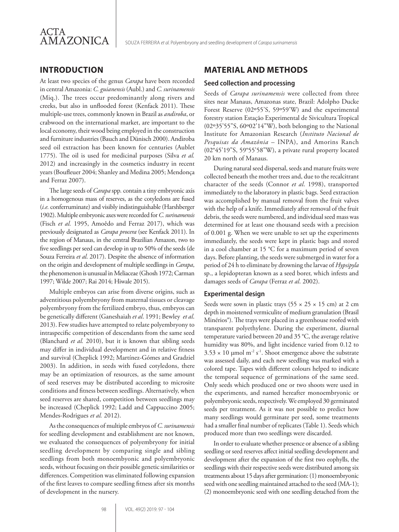

## **INTRODUCTION**

At least two species of the genus *Carapa* have been recorded in central Amazonia: *C. guianensis* (Aubl.) and *C. surinamensis*  (Miq.). The trees occur predominantly along rivers and creeks, but also in unflooded forest (Kenfack 2011). These multiple-use trees, commonly known in Brazil as *andiroba*, or crabwood on the international market, are important to the local economy, their wood being employed in the construction and furniture industries (Bauch and Dünisch 2000). Andiroba seed oil extraction has been known for centuries (Aublet 1775). The oil is used for medicinal purposes (Silva *et al.* 2012) and increasingly in the cosmetics industry in recent years (Boufleuer 2004; Shanley and Medina 2005; Mendonça and Ferraz 2007).

The large seeds of *Carapa* spp*.* contain a tiny embryonic axis in a homogenous mass of reserves, as the cotyledons are fused (*i.e.* conferruminate) and visibly indistinguishable (Harshberger 1902). Multiple embryonic axes were recorded for *C. surinamensis*  (Fisch *et al.* 1995, Amoêdo and Ferraz 2017), which was previously designated as *Carapa procera* (see Kenfack 2011). In the region of Manaus, in the central Brazilian Amazon, two to five seedlings per seed can develop in up to 50% of the seeds (de Souza Ferreira *et al*. 2017). Despite the absence of information on the origin and development of multiple seedlings in *Carapa*, the phenomenon is unusual in Meliaceae (Ghosh 1972; Carman 1997; Wilde 2007; Rai 2014; Hiwale 2015).

Multiple embryos can arise from diverse origins, such as adventitious polyembryony from maternal tissues or cleavage polyembryony from the fertilized embryo, thus, embryos can be genetically different (Ganeshaiah *et al*. 1991; Bewley *et al*. 2013). Few studies have attempted to relate polyembryony to intraspecific competition of descendants from the same seed (Blanchard *et al.* 2010), but it is known that sibling seeds may differ in individual development and in relative fitness and survival (Cheplick 1992; Martínez-Gómes and Gradziel 2003). In addition, in seeds with fused cotyledons, there may be an optimization of resources, as the same amount of seed reserves may be distributed according to microsite conditions and fitness between seedlings. Alternatively, when seed reserves are shared, competition between seedlings may be increased (Cheplick 1992; Ladd and Cappuccino 2005; Mendes-Rodrigues *et al.* 2012).

As the consequences of multiple embryos of *C. surinamensis* for seedling development and establishment are not known, we evaluated the consequences of polyembryony for initial seedling development by comparing single and sibling seedlings from both monoembyonic and polyembryonic seeds, without focusing on their possible genetic similarities or differences. Competition was eliminated following expansion of the first leaves to compare seedling fitness after six months of development in the nursery.

## **MATERIAL AND METHODS**

#### **Seed collection and processing**

Seeds of *Carapa surinamensis* were collected from three sites near Manaus, Amazonas state, Brazil: Adolpho Ducke Forest Reserve (02º55'S, 59º59'W) and the experimental forestry station Estação Experimental de Sivicultura Tropical (02º35'55"S, 60º02'14"W), both belonging to the National Institute for Amazonian Research (*Instituto Nacional de Pesquisas da Amazônia* – INPA), and Amorins Ranch (02°45'19"S, 59°55'58"W), a private rural property located 20 km north of Manaus.

During natural seed dispersal, seeds and mature fruits were collected beneath the mother trees and, due to the recalcitrant character of the seeds (Connor *et al*. 1998), transported immediately to the laboratory in plastic bags. Seed extraction was accomplished by manual removal from the fruit valves with the help of a knife. Immediately after removal of the fruit debris, the seeds were numbered, and individual seed mass was determined for at least one thousand seeds with a precision of 0.001 g. When we were unable to set up the experiments immediately, the seeds were kept in plastic bags and stored in a cool chamber at 15 °C for a maximum period of seven days. Before planting, the seeds were submerged in water for a period of 24 h to eliminate by drowning the larvae of *Hypsipyla*  sp., a lepidopteran known as a seed borer, which infests and damages seeds of *Carapa* (Ferraz *et al*. 2002).

#### **Experimental design**

Seeds were sown in plastic trays ( $55 \times 25 \times 15$  cm) at 2 cm depth in moistened vermiculite of medium granulation (Brasil Minérios®). The trays were placed in a greenhouse roofed with transparent polyethylene. During the experiment, diurnal temperature varied between 20 and 35 °C, the average relative humidity was 80%, and light incidence varied from 0.12 to  $3.53 \times 10$  µmol m<sup>-2</sup> s<sup>-1</sup>. Shoot emergence above the substrate was assessed daily, and each new seedling was marked with a colored tape. Tapes with different colours helped to indicate the temporal sequence of germinations of the same seed. Only seeds which produced one or two shoots were used in the experiments, and named hereafter monoembryonic or polyembryonic seeds, respectively. We employed 30 germinated seeds per treatment. As it was not possible to predict how many seedlings would germinate per seed, some treatments had a smaller final number of replicates (Table 1). Seeds which produced more than two seedlings were discarded.

In order to evaluate whether presence or absence of a sibling seedling or seed reserves affect initial seedling development and development after the expansion of the first two eophylls, the seedlings with their respective seeds were distributed among six treatments about 15 days after germination: (1) monoembryonic seed with one seedling maintained attached to the seed (MA-1); (2) monoembryonic seed with one seedling detached from the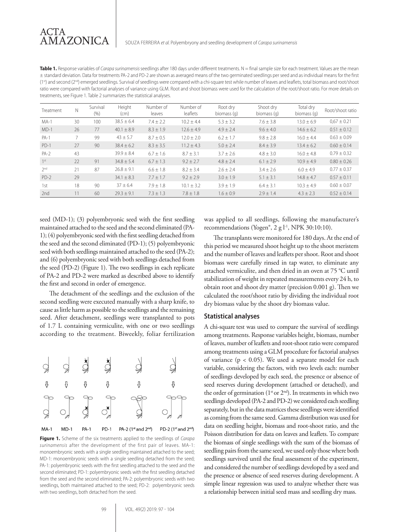| Table 1. Response variables of Carapa surinamensis seedlings after 180 days under different treatments. N = final sample size for each treatment. Values are the mean               |
|-------------------------------------------------------------------------------------------------------------------------------------------------------------------------------------|
| ± standard deviation. Data for treatments PA-2 and PD-2 are shown as averaged means of the two germinated seedlings per seed and as individual means for the first                  |
| (1st) and second (2 <sup>nd</sup> ) emerged seedlings. Survival of seedlings were compared with a chi-square test while number of leaves and leaflets, total biomass and root/shoot |
| ratio were compared with factorial analyses of variance using GLM. Root and shoot biomass were used for the calculation of the root/shoot ratio. For more details on                |
| treatments, see Figure 1. Table 2 summarizes the statistical analyses.                                                                                                              |

| Treatment       | N  | Survival<br>(% ) | Height<br>(cm) | Number of<br>leaves | Number of<br>leaflets | Root dry<br>biomass (g) | Shoot dry<br>biomass (q) | Total dry<br>biomass (q) | Root/shoot ratio |
|-----------------|----|------------------|----------------|---------------------|-----------------------|-------------------------|--------------------------|--------------------------|------------------|
| $MA-1$          | 30 | 100              | $38.5 \pm 6.4$ | $7.4 + 2.2$         | $10.2 + 4.4$          | $5.3 \pm 3.2$           | $7.6 \pm 3.8$            | $13.0 \pm 6.9$           | $0.67 \pm 0.21$  |
| $MD-1$          | 26 | 77               | $40.1 \pm 8.9$ | $8.3 \pm 1.9$       | $12.6 \pm 4.9$        | $4.9 \pm 2.4$           | $9.6 + 4.0$              | $14.6 \pm 6.2$           | $0.51 \pm 0.12$  |
| $PA-1$          |    | 99               | $43 \pm 5.7$   | $8.7 \pm 0.5$       | $12.0 \pm 2.0$        | $6.2 + 1.7$             | $9.8 \pm 2.8$            | $16.0 + 4.4$             | $0.63 \pm 0.09$  |
| $PD-1$          | 27 | 90               | $38.4 \pm 6.2$ | $8.3 + 3.5$         | $11.2 + 4.3$          | $5.0 + 2.4$             | $8.4 + 3.9$              | $13.4 \pm 6.2$           | $0.60 \pm 0.14$  |
| $PA-2$          | 43 |                  | $39.9 \pm 8.4$ | $6.7 + 1.6$         | $8.7 + 3.1$           | $3.7 \pm 2.6$           | $4.8 + 3.0$              | $16.0 + 4.8$             | $0.79 + 0.32$    |
| 1 <sup>st</sup> | 22 | 91               | $34.8 \pm 5.4$ | $6.7 \pm 1.3$       | $9.2 \pm 2.7$         | $4.8 \pm 2.4$           | $6.1 \pm 2.9$            | $10.9 + 4.9$             | $0.80 + 0.26$    |
| 2 <sub>nd</sub> | 21 | 87               | $26.8 \pm 9.1$ | $6.6 \pm 1.8$       | $8.2 \pm 3.4$         | $2.6 \pm 2.4$           | $3.4 \pm 2.6$            | $6.0 + 4.9$              | $0.77 \pm 0.37$  |
| $PD-2$          | 29 |                  | $34.1 \pm 8.3$ | $7.7 \pm 1.7$       | $9.2 \pm 2.9$         | $3.0 \pm 1.9$           | $5.1 \pm 3.1$            | $14.8 \pm 4.7$           | $0.57 \pm 0.11$  |
| 1st             | 18 | 90               | $37 \pm 6.4$   | $7.9 + 1.8$         | $10.1 \pm 3.2$        | $3.9 + 1.9$             | $6.4 + 3.1$              | $10.3 + 4.9$             | $0.60 + 0.07$    |
| 2nd             | 11 | 60               | $79.3 + 9.1$   | $7.3 \pm 1.3$       | $7.8 \pm 1.8$         | $1.6 \pm 0.9$           | $2.9 \pm 1.4$            | $4.3 \pm 2.3$            | $0.52 + 0.14$    |

seed (MD-1); (3) polyembryonic seed with the first seedling maintained attached to the seed and the second eliminated (PA-1); (4) polyembryonic seed with the first seedling detached from the seed and the second eliminated (PD-1); (5) polyembryonic seed with both seedlings maintained attached to the seed (PA-2); and (6) polyembryonic seed with both seedlings detached from the seed (PD-2) (Figure 1). The two seedlings in each replicate of PA-2 and PD-2 were marked as described above to identify the first and second in order of emergence.

The detachment of the seedlings and the exclusion of the second seedling were executed manually with a sharp knife, to cause as little harm as possible to the seedlings and the remaining seed. After detachment, seedlings were transplanted to pots of 1.7 L containing vermiculite, with one or two seedlings according to the treatment. Biweekly, foliar fertilization



**Figure 1.** Scheme of the six treatments applied to the seedlings of *Carapa surinamensis* after the development of the first pair of leaves. MA-1: monoembryonic seeds with a single seedling maintained attached to the seed; MD-1: monoembryonic seeds with a single seedling detached from the seed; PA-1: polyembryonic seeds with the first seedling attached to the seed and the second eliminated; PD-1: polyembryonic seeds with the first seedling detached from the seed and the second eliminated; PA-2: polyembryonic seeds with two seedlings, both maintained attached to the seed; PD-2: polyembryonic seeds with two seedlings, both detached from the seed.

99 VOL. 49(2) 2019: 97 - 104

was applied to all seedlings, following the manufacturer's recommendations (Yogen®, 2 g l<sup>-1</sup>, NPK 30:10:10).

The transplants were monitored for 180 days. At the end of this period we measured shoot height up to the shoot meristem and the number of leaves and leaflets per shoot. Root and shoot biomass were carefully rinsed in tap water, to eliminate any attached vermiculite, and then dried in an oven at 75 °C until stabilization of weight in repeated measurements every 24 h, to obtain root and shoot dry matter (precision 0.001 g). Then we calculated the root/shoot ratio by dividing the individual root dry biomass value by the shoot dry biomass value.

#### **Statistical analyses**

A chi-square test was used to compare the survival of seedlings among treatments. Response variables height, biomass, number of leaves, number of leaflets and root-shoot ratio were compared among treatments using a GLM procedure for factorial analyses of variance ( $p < 0.05$ ). We used a separate model for each variable, considering the factors, with two levels each: number of seedlings developed by each seed, the presence or absence of seed reserves during development (attached or detached), and the order of germination ( $1<sup>st</sup>$  or  $2<sup>nd</sup>$ ). In treatments in which two seedlings developed (PA-2 and PD-2) we considered each seedling separately, but in the data matrices these seedlings were identified as coming from the same seed. Gamma distribution was used for data on seedling height, biomass and root-shoot ratio, and the Poisson distribution for data on leaves and leaflets. To compare the biomass of single seedlings with the sum of the biomass of seedling pairs from the same seed, we used only those where both seedlings survived until the final assessment of the experiment, and considered the number of seedlings developed by a seed and the presence or absence of seed reserves during development. A simple linear regression was used to analyze whether there was a relationship between initial seed mass and seedling dry mass.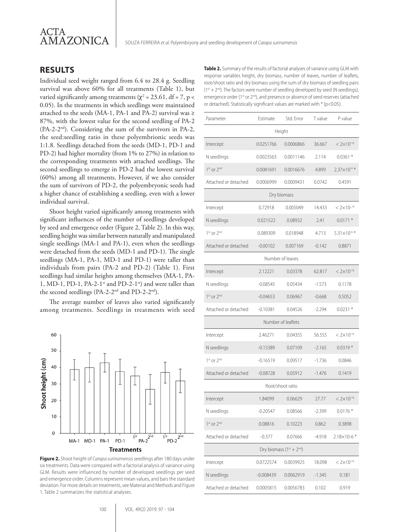

## **RESULTS**

Individual seed weight ranged from 6.4 to 28.4 g. Seedling survival was above 60% for all treatments (Table 1), but varied significantly among treatments ( $\chi^2$  = 23.61, df = 7, p < 0.05). In the treatments in which seedlings were maintained attached to the seeds (MA-1, PA-1 and PA-2) survival was ≥ 87%, with the lowest value for the second seedling of PA-2  $(PA-2-2<sup>nd</sup>)$ . Considering the sum of the survivors in PA-2, the seed:seedling ratio in these polyembrionic seeds was 1:1.8. Seedlings detached from the seeds (MD-1, PD-1 and PD-2) had higher mortality (from 1% to 27%) in relation to the corresponding treatments with attached seedlings. The second seedlings to emerge in PD-2 had the lowest survival (60%) among all treatments. However, if we also consider the sum of survivors of PD-2, the polyembryonic seeds had a higher chance of establishing a seedling, even with a lower individual survival.

Shoot height varied significantly among treatments with significant influences of the number of seedlings developed by seed and emergence order (Figure 2, Table 2). In this way, seedling height was similar between naturally and manipulated single seedlings (MA-1 and PA-1), even when the seedlings were detached from the seeds (MD-1 and PD-1). The single seedlings (MA-1, PA-1, MD-1 and PD-1) were taller than individuals from pairs (PA-2 and PD-2) (Table 1). First seedlings had similar heights among themselves (MA-1, PA-1, MD-1, PD-1, PA-2-1 $\text{st}$  and PD-2-1 $\text{st}$ ) and were taller than the second seedlings (PA-2-2<sup>nd</sup> and PD-2-2<sup>nd</sup>).

The average number of leaves also varied significantly among treatments. Seedlings in treatments with seed



**Figure 2.** Shoot height of *Carapa surinamensis* seedlings after 180 days under six treatments. Data were compared with a factorial analysis of variance using GLM. Results were influenced by number of developed seedlings per seed and emergence order. Columns represent mean values, and bars the standard deviation. For more details on treatments, see Material and Methods and Figure 1. Table 2 summarizes the statistical analyses.

**Table 2.** Summary of the results of factorial analyses of variance using GLM with response variables height, dry biomass, number of leaves, number of leaflets, root/shoot ratio and dry biomass using the sum of dry biomass of seedling pairs  $(1^{st} + 2^{nd})$ . The factors were number of seedling developed by seed (N seedlings), emergence order (1<sup>st</sup> or 2<sup>nd</sup>), and presence or absence of seed reserves (attached or detached). Statistically significant values are marked with \* (p<0.05).

| Parameter                          | Estimate    | Std. Error | T value  | P value                 |  |  |  |  |  |  |  |
|------------------------------------|-------------|------------|----------|-------------------------|--|--|--|--|--|--|--|
| Height                             |             |            |          |                         |  |  |  |  |  |  |  |
| Intercept                          | 0.0251766   | 0.0006866  | 36.667   | $< 2 \times 10^{-16}$   |  |  |  |  |  |  |  |
| N seedlings                        | 0.0023563   | 0.0011146  | 2.114    | $0.0361*$               |  |  |  |  |  |  |  |
| 1 <sup>st</sup> or 2 <sup>nd</sup> | 0.0081691   | 0.0016676  | 4.899    | 2.37×10 <sup>-6 *</sup> |  |  |  |  |  |  |  |
| Attached or detached               | 0.0006999   | 0.0009431  | 0.0742   | 0.4591                  |  |  |  |  |  |  |  |
| Dry biomass                        |             |            |          |                         |  |  |  |  |  |  |  |
| Intercept                          | 0.72918     | 0.005049   | 14.433   | $< 2 \times 10^{-16}$   |  |  |  |  |  |  |  |
| N seedlings                        | 0.021522    | 0.08932    | 2.41     | $0.0171*$               |  |  |  |  |  |  |  |
| 1 <sup>st</sup> or 2 <sup>nd</sup> | 0.089309    | 0.018948   | 4.713    | $5.31\times10^{-6}$ *   |  |  |  |  |  |  |  |
| Attached or detached               | $-0.00102$  | 0.007169   | $-0.142$ | 0.8871                  |  |  |  |  |  |  |  |
| Number of leaves                   |             |            |          |                         |  |  |  |  |  |  |  |
| Intercept                          | 2.12221     | 0.03378    | 62.817   | $< 2 \times 10^{-16}$   |  |  |  |  |  |  |  |
| N seedlings                        | $-0.08545$  | 0.05434    | $-1.573$ | 0.1178                  |  |  |  |  |  |  |  |
| 1 <sup>st</sup> or 2 <sup>nd</sup> | $-0.04653$  | 0.06967    | $-0.668$ | 0.5052                  |  |  |  |  |  |  |  |
| Attached or detached               | $-0.10381$  | 0.04526    | $-2.294$ | $0.0231*$               |  |  |  |  |  |  |  |
| Number of leaflets                 |             |            |          |                         |  |  |  |  |  |  |  |
| Intercept                          | 2.46271     | 0.04355    | 56.555   | $< 2 \times 10^{-16}$   |  |  |  |  |  |  |  |
| N seedlings                        | $-0.15389$  | 0.07109    | $-2.165$ | $0.0319*$               |  |  |  |  |  |  |  |
| 1 <sup>st</sup> or 2 <sup>nd</sup> | $-0.16519$  | 0.09517    | $-1.736$ | 0.0846                  |  |  |  |  |  |  |  |
| Attached or detached               | $-0.08728$  | 0.05912    | $-1.476$ | 0.1419                  |  |  |  |  |  |  |  |
| Root/shoot ratio                   |             |            |          |                         |  |  |  |  |  |  |  |
| Intercept                          | 1.84099     | 0.06629    | 27.77    | $< 2 \times 10^{-16}$   |  |  |  |  |  |  |  |
| N seedlings                        | $-0.20547$  | 0.08566    | $-2.399$ | $0.0176*$               |  |  |  |  |  |  |  |
| 1 <sup>st</sup> or 2 <sup>nd</sup> | 0.08816     | 0.10223    | 0.862    | 0.3898                  |  |  |  |  |  |  |  |
| Attached or detached               | $-0.377$    | 0.07666    | $-4.918$ | $2.18\times10-6*$       |  |  |  |  |  |  |  |
| Dry biomass $(1^{st} + 2^{nd})$    |             |            |          |                         |  |  |  |  |  |  |  |
| Intercept                          | 0.0722574   | 0.0039925  | 18.098   | $< 2 \times 10^{-16}$   |  |  |  |  |  |  |  |
| N seedlings                        | $-0.008439$ | 0.0062919  | $-1.345$ | 0.181                   |  |  |  |  |  |  |  |
| Attached or detached               | 0.0005815   | 0.0056783  | 0.102    | 0.919                   |  |  |  |  |  |  |  |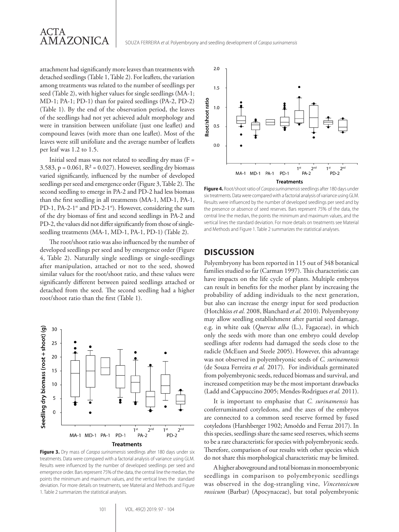## ACTA AMAZONICA

SOUZA FERREIRA *et al.* Polyembryony and seedling development of *Carapa surinamensis*

attachment had significantly more leaves than treatments with detached seedlings (Table 1, Table 2). For leaflets, the variation among treatments was related to the number of seedlings per seed (Table 2), with higher values for single seedlings (MA-1; MD-1; PA-1; PD-1) than for paired seedlings (PA-2, PD-2) (Table 1). By the end of the observation period, the leaves of the seedlings had not yet achieved adult morphology and were in transition between unifoliate (just one leaflet) and compound leaves (with more than one leaflet). Most of the leaves were still unifoliate and the average number of leaflets per leaf was 1.2 to 1.5.

Initial seed mass was not related to seedling dry mass ( $F =$ 3.583,  $p = 0.061$ ,  $R^2 = 0.027$ . However, seedling dry biomass varied significantly, influenced by the number of developed seedlings per seed and emergence order (Figure 3, Table 2). The second seedling to emerge in PA-2 and PD-2 had less biomass than the first seedling in all treatments (MA-1, MD-1, PA-1, PD-1, PA-2-1<sup>st</sup> and PD-2-1<sup>st</sup>). However, considering the sum of the dry biomass of first and second seedlings in PA-2 and PD-2, the values did not differ significantly from those of singleseedling treatments (MA-1, MD-1, PA-1, PD-1) (Table 2).

The root/shoot ratio was also influenced by the number of developed seedlings per seed and by emergence order (Figure 4, Table 2). Naturally single seedlings or single-seedlings after manipulation, attached or not to the seed, showed similar values for the root/shoot ratio, and these values were significantly different between paired seedlings attached or detached from the seed. The second seedling had a higher root/shoot ratio than the first (Table 1).



**Figure 3.** Dry mass of *Carapa surinamensis* seedlings after 180 days under six treatments. Data were compared with a factorial analysis of variance using GLM. Results were influenced by the number of developed seedlings per seed and emergence order. Bars represent 75% of the data, the central line the median, the points the minimum and maximum values, and the vertical lines the standard deviation. For more details on treatments, see Material and Methods and Figure 1. Table 2 summarizes the statistical analyses.



**Figure 4.** Root/shoot ratio of *Carapa surinamensis*seedlings after 180 days under six treatments. Data were compared with a factorial analysis of variance using GLM. Results were influenced by the number of developed seedlings per seed and by the presence or absence of seed reserves. Bars represent 75% of the data, the central line the median, the points the minimum and maximum values, and the vertical lines the standard deviation. For more details on treatments see Material and Methods and Figure 1. Table 2 summarizes the statistical analyses.

#### **DISCUSSION**

Polyembryony has been reported in 115 out of 348 botanical families studied so far (Carman 1997). This characteristic can have impacts on the life cycle of plants. Multiple embryos can result in benefits for the mother plant by increasing the probability of adding individuals to the next generation, but also can increase the energy input for seed production (Hotchkiss *et al.* 2008, Blanchard *et al.* 2010). Polyembryony may allow seedling establishment after partial seed damage, e.g. in white oak (*Quercus alba* (L.), Fagaceae), in which only the seeds with more than one embryo could develop seedlings after rodents had damaged the seeds close to the radicle (McEuen and Steele 2005). However, this advantage was not observed in polyembryonic seeds of *C. surinamensis* (de Souza Ferreira *et al.* 2017). For individuals germinated from polyembryonic seeds, reduced biomass and survival, and increased competition may be the most important drawbacks (Ladd and Cappuccino 2005; Mendes-Rodrigues *et al.* 2011).

It is important to emphasise that *C. surinamensis* has conferruminated cotyledons, and the axes of the embryos are connected to a common seed reserve formed by fused cotyledons (Harshberger 1902; Amoêdo and Ferraz 2017). In this species, seedlings share the same seed reserves, which seems to be a rare characteristic for species with polyembryonic seeds. Therefore, comparison of our results with other species which do not share this morphological characteristic may be limited.

A higher aboveground and total biomass in monoembryonic seedlings in comparison to polyembryonic seedlings was observed in the dog-strangling vine, *Vincetoxicum rossicum* (Barbar) (Apocynaceae), but total polyembryonic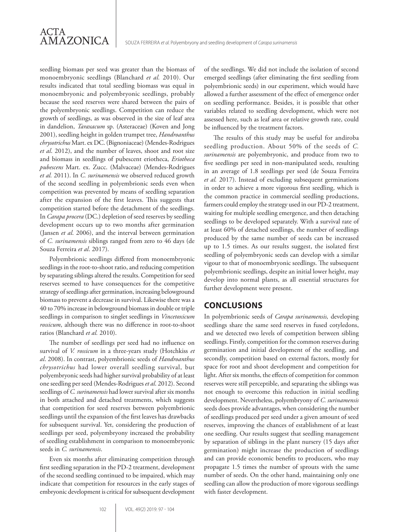seedling biomass per seed was greater than the biomass of monoembryonic seedlings (Blanchard *et al.* 2010). Our results indicated that total seedling biomass was equal in monoembryonic and polyembryonic seedlings, probably because the seed reserves were shared between the pairs of the polyembryonic seedlings. Competition can reduce the growth of seedlings, as was observed in the size of leaf area in dandelion, *Taraxacum* sp. (Asteraceae) (Koven and Jong 2001), seedling height in golden trumpet tree, *Handroanthus chrysotrichus* Mart. ex DC. (Bignoniaceae) (Mendes-Rodrigues *et al*. 2012), and the number of leaves, shoot and root size and biomass in seedlings of pubescent eriotheca, *Eriotheca pubescens* Mart. ex. Zucc. (Malvaceae) (Mendes-Rodrigues *et al.* 2011). In *C. surinamensis* we observed reduced growth of the second seedling in polyembrionic seeds even when competition was prevented by means of seedling separation after the expansion of the first leaves. This suggests that competition started before the detachment of the seedlings. In *Carapa procera* (DC.) depletion of seed reserves by seedling development occurs up to two months after germination (Jansen *et al*. 2006), and the interval between germination of *C. surinamensis* siblings ranged from zero to 46 days (de Souza Ferreira *et al*. 2017).

Polyembrionic seedlings differed from monoembryonic seedlings in the root-to-shoot ratio, and reducing competition by separating siblings altered the results. Competition for seed reserves seemed to have consequences for the competitive strategy of seedlings after germination, increasing belowground biomass to prevent a decrease in survival. Likewise there was a 40 to 70% increase in belowground biomass in double or triple seedlings in comparison to singlet seedlings in *Vincetoxicum rossicum*, although there was no difference in root-to-shoot ratios (Blanchard *et al.* 2010).

The number of seedlings per seed had no influence on survival of *V. rossicum* in a three-years study (Hotchkiss *et al*. 2008). In contrast, polyembrionic seeds of *Handroanthus chrysotrichus* had lower overall seedling survival, but polyembryonic seeds had higher survival probability of at least one seedling per seed (Mendes-Rodrigues *et al*. 2012). Second seedlings of *C. surinamensis* had lower survival after six months in both attached and detached treatments, which suggests that competition for seed reserves between polyembrionic seedlings until the expansion of the first leaves has drawbacks for subsequent survival. Yet, considering the production of seedlings per seed, polyembryony increased the probability of seedling establishment in comparison to monoembryonic seeds in *C. surinamensis*.

Even six months after eliminating competition through first seedling separation in the PD-2 treatment, development of the second seedling continued to be impaired, which may indicate that competition for resources in the early stages of embryonic development is critical for subsequent development of the seedlings. We did not include the isolation of second emerged seedlings (after eliminating the first seedling from polyembrionic seeds) in our experiment, which would have allowed a further assessment of the effect of emergence order on seedling performance. Besides, it is possible that other variables related to seedling development, which were not assessed here, such as leaf area or relative growth rate, could be influenced by the treatment factors.

The results of this study may be useful for andiroba seedling production. About 50% of the seeds of *C. surinamensis* are polyembryonic, and produce from two to five seedlings per seed in non-manipulated seeds, resulting in an average of 1.8 seedlings per seed (de Souza Ferreira *et al.* 2017). Instead of excluding subsequent germinations in order to achieve a more vigorous first seedling, which is the common practice in commercial seedling productions, farmers could employ the strategy used in our PD-2 treatment, waiting for multiple seedling emergence, and then detaching seedlings to be developed separately. With a survival rate of at least 60% of detached seedlings, the number of seedlings produced by the same number of seeds can be increased up to 1.5 times. As our results suggest, the isolated first seedling of polyembryonic seeds can develop with a similar vigour to that of monoembryonic seedlings. The subsequent polyembrionic seedlings, despite an initial lower height, may develop into normal plants, as all essential structures for further development were present.

## **CONCLUSIONS**

In polyembrionic seeds of *Carapa surinamensis,* developing seedlings share the same seed reserves in fused cotyledons, and we detected two levels of competition between sibling seedlings. Firstly, competition for the common reserves during germination and initial development of the seedling, and secondly, competition based on external factors, mostly for space for root and shoot development and competition for light. After six months, the effects of competition for common reserves were still perceptible, and separating the siblings was not enough to overcome this reduction in initial seedling development. Nevertheless, polyembryony of *C. surinamensis* seeds does provide advantages, when considering the number of seedlings produced per seed under a given amount of seed reserves, improving the chances of establishment of at least one seedling. Our results suggest that seedling management by separation of siblings in the plant nursery (15 days after germination) might increase the production of seedlings and can provide economic benefits to producers, who may propagate 1.5 times the number of sprouts with the same number of seeds. On the other hand, maintaining only one seedling can allow the production of more vigorous seedlings with faster development.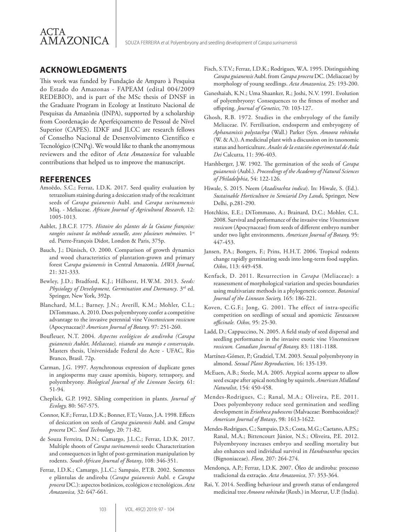## **ACKNOWLEDGMENTS**

This work was funded by Fundação de Amparo à Pesquisa do Estado do Amazonas - FAPEAM (edital 004/2009 REDEBIO), and is part of the MSc thesis of DNSF in the Graduate Program in Ecology at Instituto Nacional de Pesquisas da Amazônia (INPA), supported by a scholarship from Coordenação de Aperfeiçoamento de Pessoal de Nível Superior (CAPES). IDKF and JLCC are research fellows of Conselho Nacional de Desenvolvimento Científico e Tecnológico (CNPq). We would like to thank the anomymous reviewers and the editor of *Acta Amazonica* for valuable contributions that helped us to improve the manuscript.

### **REFERENCES**

- Amoêdo, S.C.; Ferraz, I.D.K. 2017. Seed quality evaluation by tetrazolium staining during a desiccation study of the recalcitrant seeds of *Carapa guianensis* Aubl. and *Carapa surinamensis* Miq. - Meliaceae. *African Journal of Agricultural Research,* 12: 1005-1013.
- Aublet, J.B.C.F. 1775. *Histoire des plantes de la Guiane françoise: rangées suivant la méthode sexuelle, avec plusieurs mémoires*. 1st ed. Pierre-François Didot, London & Paris, 375p.
- Bauch, J.; Dünisch, O. 2000. Comparison of growth dynamics and wood characteristics of plantation-grown and primary forest C*arapa guianensis* in Central Amazonia. *IAWA Journal*, 21: 321-333.
- Bewley, J.D.; Bradford, K.J.; Hilhorst, H.W.M. 2013. *Seeds: Physiology of Development, Germination and Dormancy*. 3rd ed. Springer, New York, 392p.
- Blanchard, M.L.; Barney, J.N.; Averill, K.M.; Mohler, C.L.; DiTommaso, A. 2010. Does polyembryony confer a competitive advantage to the invasive perennial vine V*incetoxicum rossicum* (Apocynaceae)? *American Journal of Botany,* 97: 251-260.
- Boufleuer, N.T. 2004*. Aspectos ecológicos de andiroba (Carapa guianensis Aublet, Meliaceae), visando seu manejo e conservação*. Masters thesis, Universidade Federal do Acre - UFAC, Rio Branco, Brasil. 72p.
- Carman, J.G. 1997. Asynchronous expression of duplicate genes in angiosperms may cause apomixis, bispory, tetraspory, and polyembryony. *Biological Journal of the Linnean Society,* 61: 51-94.
- Cheplick, G.P. 1992. Sibling competition in plants. *Journal of Ecology,* 80: 567-575.
- Connor, K.F.; Ferraz, I.D.K.; Bonner, F.T.; Vozzo, J.A. 1998. Effects of desiccation on seeds of *Carapa guianensis* Aubl. and *Carapa procera* DC. *Seed Technology*, 20: 71-82.
- de Souza Ferreira, D.N.; Camargo, J.L.C.; Ferraz, I.D.K. 2017. Multiple shoots of *Carapa surinamensis* seeds: Characterization and consequences in light of post-germination manipulation by rodents. *South African Journal of Botany*, 108: 346-351.
- Ferraz, I.D.K.; Camargo, J.L.C.; Sampaio, P.T.B. 2002. Sementes e plântulas de andiroba (*Carapa guianensis* Aubl. e *Carapa procera* DC.): aspectos botânicos, ecológicos e tecnológicos. *Acta Amazonica,* 32: 647-661.
- Fisch, S.T.V.; Ferraz, I.D.K.; Rodrigues, W.A. 1995. Distinguishing *Carapa guianensis* Aubl. from *Carapa procera* DC. (Meliaceae) by morphology of young seedlings. *Acta Amazonica,* 25: 193-200.
- Ganeshaiah, K.N.; Uma Shaanker, R.; Joshi, N.V. 1991. Evolution of polyembryony: Consequences to the fitness of mother and offspring. *Journal of Genetics*, 70: 103-127.
- Ghosh, R.B. 1972. Studies in the embryology of the family Meliaceae. IV. Fertilisation, endosperm and embryogeny of *Aphanamixis polystachya* (Wall.) Parker (Syn. *Amoora rohituka*  (W. & A.)). A medicinal plant with a discussion on its taxonomic status and horticulture. *Anales de la estación experimental de Aula Dei* Calcutta, 11: 396-403.
- Harshberger, J.W. 1902. The germination of the seeds of *Carapa guianensis* (Aubl.). *Proceedings of the Academy of Natural Sciences of Philadelphia*, 54: 122-126.
- Hiwale, S. 2015. Neem (*Azadirachta indica*). In: Hiwale, S. (Ed.). *Sustainable Horticulture in Semiarid Dry Lands*, Springer, New Delhi, p.281-290.
- Hotchkiss, E.E.; DiTommaso, A.; Brainard, D.C.; Mohler, C.L. 2008. Survival and performance of the invasive vine *Vincetoxicum rossicum* (Apocynaceae) from seeds of different embryo number under two light environments. *American Journal of Botany,* 95: 447-453.
- Jansen, P.A.; Bongers, F.; Prins, H.H.T. 2006. Tropical rodents change rapidly germinating seeds into long-term food supplies. *Oikos*, 113: 449-458.
- Kenfack, D. 2011. Resurrection in *Carapa* (Meliaceae): a reassessment of morphological variation and species boundaries using multivariate methods in a phylogenetic context. *Botanical Journal of the Linnean Society,* 165: 186-221.
- Koven, C.G.F.; Jong, G. 2001. The effect of intra-specific competition on seedlings of sexual and apomictic *Taraxacum officinale. Oikos,* 95: 25-30.
- Ladd, D.; Cappuccino, N. 2005. A field study of seed dispersal and seedling performance in the invasive exotic vine *Vincetoxicum rossicum. Canadian Journal of Botany,* 83: 1181-1188.
- Martínez-Gómez, P.; Gradziel, T.M. 2003. Sexual polyembryony in almond. *Sexual Plant Reproduction,* 16: 135-139.
- McEuen, A.B.; Steele, M.A. 2005. Atypical acorns appear to allow seed escape after apical notching by squirrels. *American Midland Naturalist*, 154: 450-458.
- Mendes-Rodrigues, C.; Ranal, M.A.; Oliveira, P.E. 2011. Does polyembryony reduce seed germination and seedling development in *Eriotheca pubescens* (Malvaceae: Bombacoideae)? *American Journal of Botany*, 98: 1613-1622.
- Mendes-Rodrigues, C.; Sampaio, D.S.; Costa, M.G.; Caetano, A.P.S.; Ranal, M.A.; Bittencourt Júnior, N.S.; Oliveira, P.E. 2012. Polyembryony increases embryo and seedling mortality but also enhances seed individual survival in *Handroanthus* species (Bignoniaceae). *Flora,* 207: 264-274.
- Mendonça, A.P.; Ferraz, I.D.K. 2007. Óleo de andiroba: processo tradicional da extração. *Acta Amazonica*, 37: 353-364.
- Rai, Y. 2014. Seedling behaviour and growth status of endangered medicinal tree *Amoora rohituka* (Roxb.) in Meerut, U.P. (India).